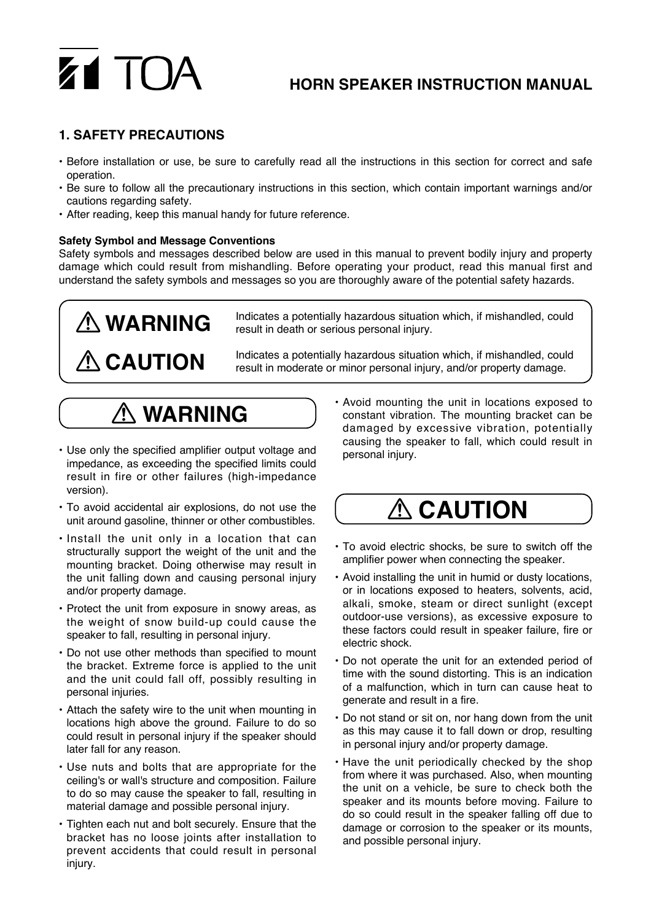# ZI TO

### **HORN SPEAKER INSTRUCTION MANUAL**

#### **1. SAFETY PRECAUTIONS**

- Before installation or use, be sure to carefully read all the instructions in this section for correct and safe operation.
- Be sure to follow all the precautionary instructions in this section, which contain important warnings and/or cautions regarding safety.
- After reading, keep this manual handy for future reference.

#### **Safety Symbol and Message Conventions**

Safety symbols and messages described below are used in this manual to prevent bodily injury and property damage which could result from mishandling. Before operating your product, read this manual first and understand the safety symbols and messages so you are thoroughly aware of the potential safety hazards.

## **WARNING A** CAUTION

Indicates a potentially hazardous situation which, if mishandled, could result in death or serious personal injury.

Indicates a potentially hazardous situation which, if mishandled, could result in moderate or minor personal injury, and/or property damage.

### **WARNING**

- Use only the specified amplifier output voltage and impedance, as exceeding the specified limits could result in fire or other failures (high-impedance version).
- To avoid accidental air explosions, do not use the unit around gasoline, thinner or other combustibles.
- Install the unit only in a location that can structurally support the weight of the unit and the mounting bracket. Doing otherwise may result in the unit falling down and causing personal injury and/or property damage.
- Protect the unit from exposure in snowy areas, as the weight of snow build-up could cause the speaker to fall, resulting in personal injury.
- Do not use other methods than specified to mount the bracket. Extreme force is applied to the unit and the unit could fall off, possibly resulting in personal injuries.
- Attach the safety wire to the unit when mounting in locations high above the ground. Failure to do so could result in personal injury if the speaker should later fall for any reason.
- Use nuts and bolts that are appropriate for the ceiling's or wall's structure and composition. Failure to do so may cause the speaker to fall, resulting in material damage and possible personal injury.
- Tighten each nut and bolt securely. Ensure that the bracket has no loose joints after installation to prevent accidents that could result in personal injury.

• Avoid mounting the unit in locations exposed to constant vibration. The mounting bracket can be damaged by excessive vibration, potentially causing the speaker to fall, which could result in personal injury.

### **ACAUTION**

- To avoid electric shocks, be sure to switch off the amplifier power when connecting the speaker.
- Avoid installing the unit in humid or dusty locations, or in locations exposed to heaters, solvents, acid, alkali, smoke, steam or direct sunlight (except outdoor-use versions), as excessive exposure to these factors could result in speaker failure, fire or electric shock.
- Do not operate the unit for an extended period of time with the sound distorting. This is an indication of a malfunction, which in turn can cause heat to generate and result in a fire.
- Do not stand or sit on, nor hang down from the unit as this may cause it to fall down or drop, resulting in personal injury and/or property damage.
- Have the unit periodically checked by the shop from where it was purchased. Also, when mounting the unit on a vehicle, be sure to check both the speaker and its mounts before moving. Failure to do so could result in the speaker falling off due to damage or corrosion to the speaker or its mounts, and possible personal injury.